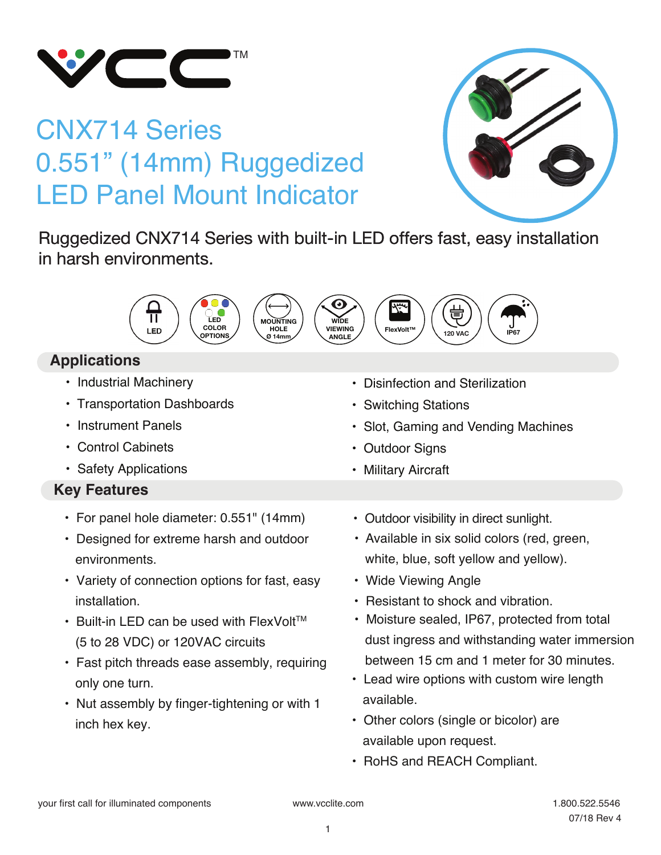

# CNX714 Series 0.551" (14mm) Ruggedized LED Panel Mount Indicator



Ruggedized CNX714 Series with built-in LED offers fast, easy installation in harsh environments.



## **Applications**

- Industrial Machinery
- Transportation Dashboards
- Instrument Panels
- Control Cabinets
- Safety Applications

## **Key Features**

- For panel hole diameter: 0.551" (14mm)
- Designed for extreme harsh and outdoor environments.
- Variety of connection options for fast, easy installation.
- $\cdot$  Built-in LED can be used with FlexVolt<sup>TM</sup> (5 to 28 VDC) or 120VAC circuits
- Fast pitch threads ease assembly, requiring only one turn.
- Nut assembly by finger-tightening or with 1 inch hex key.

• Outdoor visibility in direct sunlight.

• Slot, Gaming and Vending Machines

• Disinfection and Sterilization

• Switching Stations

• Outdoor Signs • Military Aircraft

- Available in six solid colors (red, green, white, blue, soft yellow and yellow).
- Wide Viewing Angle
- Resistant to shock and vibration.
- Moisture sealed, IP67, protected from total dust ingress and withstanding water immersion between 15 cm and 1 meter for 30 minutes.
- Lead wire options with custom wire length available.
- Other colors (single or bicolor) are available upon request.
- RoHS and REACH Compliant.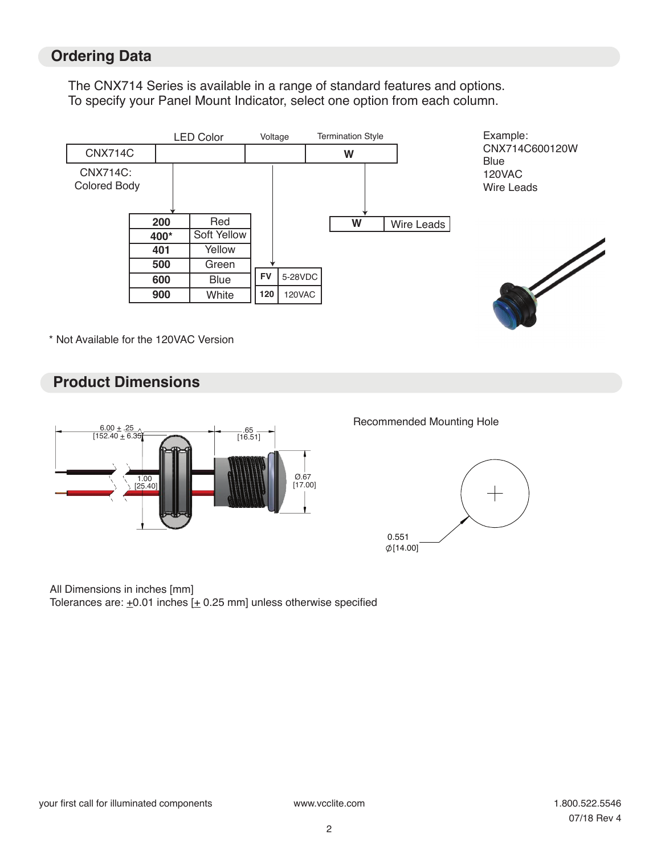### **Ordering Data**

The CNX714 Series is available in a range of standard features and options. To specify your Panel Mount Indicator, select one option from each column.



\* Not Available for the 120VAC Version

### **Product Dimensions**



#### Recommended Mounting Hole



#### All Dimensions in inches [mm]

Tolerances are:  $\pm 0.01$  inches  $[\pm 0.25$  mm] unless otherwise specified